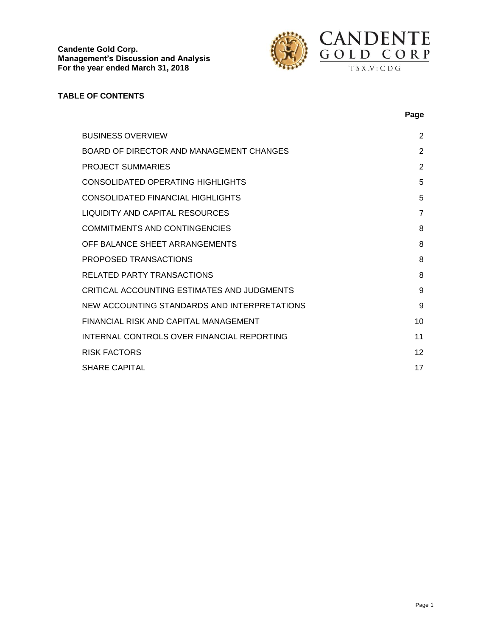

## **TABLE OF CONTENTS**

|                                              | Page           |
|----------------------------------------------|----------------|
| <b>BUSINESS OVERVIEW</b>                     | 2              |
| BOARD OF DIRECTOR AND MANAGEMENT CHANGES     | $\overline{2}$ |
| PROJECT SUMMARIES                            | 2              |
| CONSOLIDATED OPERATING HIGHLIGHTS            | 5              |
| CONSOLIDATED FINANCIAL HIGHLIGHTS            | 5              |
| LIQUIDITY AND CAPITAL RESOURCES              | $\overline{7}$ |
| <b>COMMITMENTS AND CONTINGENCIES</b>         | 8              |
| OFF BALANCE SHEET ARRANGEMENTS               | 8              |
| PROPOSED TRANSACTIONS                        | 8              |
| RELATED PARTY TRANSACTIONS                   | 8              |
| CRITICAL ACCOUNTING ESTIMATES AND JUDGMENTS  | 9              |
| NEW ACCOUNTING STANDARDS AND INTERPRETATIONS | 9              |
| FINANCIAL RISK AND CAPITAL MANAGEMENT        | 10             |
| INTERNAL CONTROLS OVER FINANCIAL REPORTING   | 11             |
| <b>RISK FACTORS</b>                          | 12             |
| <b>SHARE CAPITAL</b>                         | 17             |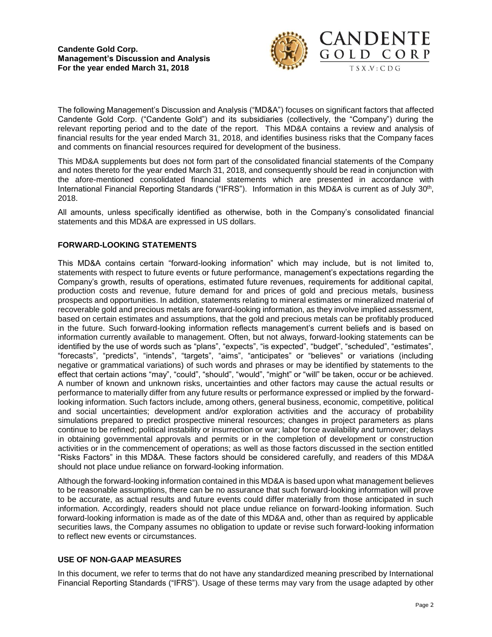

The following Management's Discussion and Analysis ("MD&A") focuses on significant factors that affected Candente Gold Corp. ("Candente Gold") and its subsidiaries (collectively, the "Company") during the relevant reporting period and to the date of the report. This MD&A contains a review and analysis of financial results for the year ended March 31, 2018, and identifies business risks that the Company faces and comments on financial resources required for development of the business.

This MD&A supplements but does not form part of the consolidated financial statements of the Company and notes thereto for the year ended March 31, 2018, and consequently should be read in conjunction with the afore-mentioned consolidated financial statements which are presented in accordance with International Financial Reporting Standards ("IFRS"). Information in this MD&A is current as of July 30<sup>th</sup>, 2018.

All amounts, unless specifically identified as otherwise, both in the Company's consolidated financial statements and this MD&A are expressed in US dollars.

# **FORWARD-LOOKING STATEMENTS**

This MD&A contains certain "forward-looking information" which may include, but is not limited to, statements with respect to future events or future performance, management's expectations regarding the Company's growth, results of operations, estimated future revenues, requirements for additional capital, production costs and revenue, future demand for and prices of gold and precious metals, business prospects and opportunities. In addition, statements relating to mineral estimates or mineralized material of recoverable gold and precious metals are forward-looking information, as they involve implied assessment, based on certain estimates and assumptions, that the gold and precious metals can be profitably produced in the future. Such forward-looking information reflects management's current beliefs and is based on information currently available to management. Often, but not always, forward-looking statements can be identified by the use of words such as "plans", "expects", "is expected", "budget", "scheduled", "estimates", "forecasts", "predicts", "intends", "targets", "aims", "anticipates" or "believes" or variations (including negative or grammatical variations) of such words and phrases or may be identified by statements to the effect that certain actions "may", "could", "should", "would", "might" or "will" be taken, occur or be achieved. A number of known and unknown risks, uncertainties and other factors may cause the actual results or performance to materially differ from any future results or performance expressed or implied by the forwardlooking information. Such factors include, among others, general business, economic, competitive, political and social uncertainties; development and/or exploration activities and the accuracy of probability simulations prepared to predict prospective mineral resources; changes in project parameters as plans continue to be refined; political instability or insurrection or war; labor force availability and turnover; delays in obtaining governmental approvals and permits or in the completion of development or construction activities or in the commencement of operations; as well as those factors discussed in the section entitled "Risks Factors" in this MD&A. These factors should be considered carefully, and readers of this MD&A should not place undue reliance on forward-looking information.

Although the forward-looking information contained in this MD&A is based upon what management believes to be reasonable assumptions, there can be no assurance that such forward-looking information will prove to be accurate, as actual results and future events could differ materially from those anticipated in such information. Accordingly, readers should not place undue reliance on forward-looking information. Such forward-looking information is made as of the date of this MD&A and, other than as required by applicable securities laws, the Company assumes no obligation to update or revise such forward-looking information to reflect new events or circumstances.

# **USE OF NON-GAAP MEASURES**

In this document, we refer to terms that do not have any standardized meaning prescribed by International Financial Reporting Standards ("IFRS"). Usage of these terms may vary from the usage adapted by other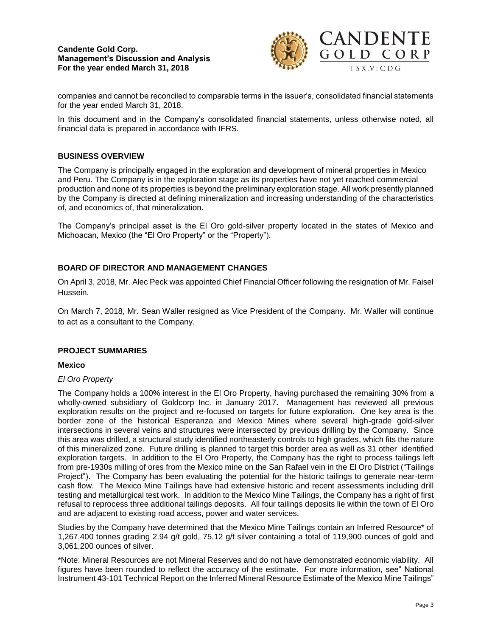

companies and cannot be reconciled to comparable terms in the issuer's, consolidated financial statements for the year ended March 31, 2018.

In this document and in the Company's consolidated financial statements, unless otherwise noted, all financial data is prepared in accordance with IFRS.

### **BUSINESS OVERVIEW**

The Company is principally engaged in the exploration and development of mineral properties in Mexico and Peru. The Company is in the exploration stage as its properties have not yet reached commercial production and none of its properties is beyond the preliminary exploration stage. All work presently planned by the Company is directed at defining mineralization and increasing understanding of the characteristics of, and economics of, that mineralization.

The Company's principal asset is the El Oro gold-silver property located in the states of Mexico and Michoacan, Mexico (the "El Oro Property" or the "Property").

# **BOARD OF DIRECTOR AND MANAGEMENT CHANGES**

On April 3, 2018, Mr. Alec Peck was appointed Chief Financial Officer following the resignation of Mr. Faisel Hussein.

On March 7, 2018, Mr. Sean Waller resigned as Vice President of the Company. Mr. Waller will continue to act as a consultant to the Company.

#### **PROJECT SUMMARIES**

#### **Mexico**

#### *El Oro Property*

The Company holds a 100% interest in the El Oro Property, having purchased the remaining 30% from a wholly-owned subsidiary of Goldcorp Inc. in January 2017. Management has reviewed all previous exploration results on the project and re-focused on targets for future exploration. One key area is the border zone of the historical Esperanza and Mexico Mines where several high-grade gold-silver intersections in several veins and structures were intersected by previous drilling by the Company. Since this area was drilled, a structural study identified northeasterly controls to high grades, which fits the nature of this mineralized zone. Future drilling is planned to target this border area as well as 31 other identified exploration targets. In addition to the El Oro Property, the Company has the right to process tailings left from pre-1930s milling of ores from the Mexico mine on the San Rafael vein in the El Oro District ("Tailings Project"). The Company has been evaluating the potential for the historic tailings to generate near-term cash flow. The Mexico Mine Tailings have had extensive historic and recent assessments including drill testing and metallurgical test work. In addition to the Mexico Mine Tailings, the Company has a right of first refusal to reprocess three additional tailings deposits. All four tailings deposits lie within the town of El Oro and are adjacent to existing road access, power and water services.

Studies by the Company have determined that the Mexico Mine Tailings contain an Inferred Resource\* of 1,267,400 tonnes grading 2.94 g/t gold, 75.12 g/t silver containing a total of 119,900 ounces of gold and 3,061,200 ounces of silver.

\*Note: Mineral Resources are not Mineral Reserves and do not have demonstrated economic viability. All figures have been rounded to reflect the accuracy of the estimate. For more information, see" National Instrument 43-101 Technical Report on the Inferred Mineral Resource Estimate of the Mexico Mine Tailings"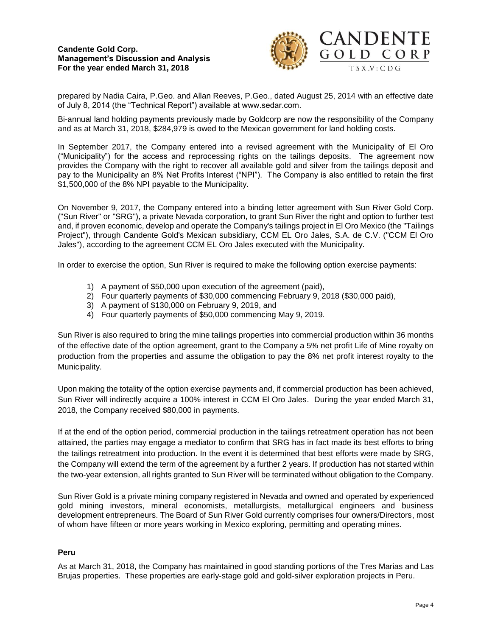

prepared by Nadia Caira, P.Geo. and Allan Reeves, P.Geo., dated August 25, 2014 with an effective date of July 8, 2014 (the "Technical Report") available at www.sedar.com.

Bi-annual land holding payments previously made by Goldcorp are now the responsibility of the Company and as at March 31, 2018, \$284,979 is owed to the Mexican government for land holding costs.

In September 2017, the Company entered into a revised agreement with the Municipality of El Oro ("Municipality") for the access and reprocessing rights on the tailings deposits. The agreement now provides the Company with the right to recover all available gold and silver from the tailings deposit and pay to the Municipality an 8% Net Profits Interest ("NPI"). The Company is also entitled to retain the first \$1,500,000 of the 8% NPI payable to the Municipality.

On November 9, 2017, the Company entered into a binding letter agreement with Sun River Gold Corp. ("Sun River" or "SRG"), a private Nevada corporation, to grant Sun River the right and option to further test and, if proven economic, develop and operate the Company's tailings project in El Oro Mexico (the "Tailings Project"), through Candente Gold's Mexican subsidiary, CCM EL Oro Jales, S.A. de C.V. ("CCM El Oro Jales"), according to the agreement CCM EL Oro Jales executed with the Municipality.

In order to exercise the option, Sun River is required to make the following option exercise payments:

- 1) A payment of \$50,000 upon execution of the agreement (paid),
- 2) Four quarterly payments of \$30,000 commencing February 9, 2018 (\$30,000 paid),
- 3) A payment of \$130,000 on February 9, 2019, and
- 4) Four quarterly payments of \$50,000 commencing May 9, 2019.

Sun River is also required to bring the mine tailings properties into commercial production within 36 months of the effective date of the option agreement, grant to the Company a 5% net profit Life of Mine royalty on production from the properties and assume the obligation to pay the 8% net profit interest royalty to the Municipality.

Upon making the totality of the option exercise payments and, if commercial production has been achieved, Sun River will indirectly acquire a 100% interest in CCM El Oro Jales. During the year ended March 31, 2018, the Company received \$80,000 in payments.

If at the end of the option period, commercial production in the tailings retreatment operation has not been attained, the parties may engage a mediator to confirm that SRG has in fact made its best efforts to bring the tailings retreatment into production. In the event it is determined that best efforts were made by SRG, the Company will extend the term of the agreement by a further 2 years. If production has not started within the two-year extension, all rights granted to Sun River will be terminated without obligation to the Company.

Sun River Gold is a private mining company registered in Nevada and owned and operated by experienced gold mining investors, mineral economists, metallurgists, metallurgical engineers and business development entrepreneurs. The Board of Sun River Gold currently comprises four owners/Directors, most of whom have fifteen or more years working in Mexico exploring, permitting and operating mines.

#### **Peru**

As at March 31, 2018, the Company has maintained in good standing portions of the Tres Marias and Las Brujas properties. These properties are early-stage gold and gold-silver exploration projects in Peru.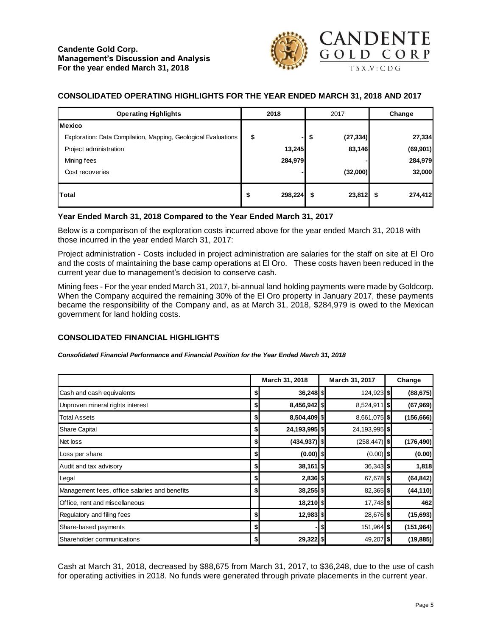

# **CONSOLIDATED OPERATING HIGHLIGHTS FOR THE YEAR ENDED MARCH 31, 2018 AND 2017**

| <b>Operating Highlights</b>                                    | 2018<br>2017     |    |           | Change |           |  |
|----------------------------------------------------------------|------------------|----|-----------|--------|-----------|--|
| <b>Mexico</b>                                                  |                  |    |           |        |           |  |
| Exploration: Data Compilation, Mapping, Geological Evaluations | \$               | \$ | (27, 334) |        | 27,334    |  |
| Project administration                                         | 13,245           |    | 83,146    |        | (69, 901) |  |
| Mining fees                                                    | 284,979          |    |           |        | 284,979   |  |
| Cost recoveries                                                |                  |    | (32,000)  |        | 32,000    |  |
| <b>Total</b>                                                   | \$<br>298,224 \$ |    | 23,812    |        | 274,412   |  |

## **Year Ended March 31, 2018 Compared to the Year Ended March 31, 2017**

Below is a comparison of the exploration costs incurred above for the year ended March 31, 2018 with those incurred in the year ended March 31, 2017:

Project administration - Costs included in project administration are salaries for the staff on site at El Oro and the costs of maintaining the base camp operations at El Oro. These costs haven been reduced in the current year due to management's decision to conserve cash.

Mining fees - For the year ended March 31, 2017, bi-annual land holding payments were made by Goldcorp. When the Company acquired the remaining 30% of the El Oro property in January 2017, these payments became the responsibility of the Company and, as at March 31, 2018, \$284,979 is owed to the Mexican government for land holding costs.

# **CONSOLIDATED FINANCIAL HIGHLIGHTS**

*Consolidated Financial Performance and Financial Position for the Year Ended March 31, 2018*

|                                               |    | March 31, 2018<br>March 31, 2017 |    |                 | Change     |
|-----------------------------------------------|----|----------------------------------|----|-----------------|------------|
| Cash and cash equivalents                     | \$ | $36,248$ \$                      |    | 124,923 \$      | (88, 675)  |
| Unproven mineral rights interest              | \$ | 8,456,942 \$                     |    | 8,524,911 \$    | (67, 969)  |
| <b>Total Assets</b>                           | \$ | 8,504,409 \$                     |    | 8,661,075 \$    | (156, 666) |
| Share Capital                                 | \$ | 24,193,995 \$                    |    | 24,193,995 \$   |            |
| Net loss                                      | \$ | $(434, 937)$ \$                  |    | $(258, 447)$ \$ | (176, 490) |
| Loss per share                                | \$ | $(0.00)$ \$                      |    | $(0.00)$ \$     | (0.00)     |
| Audit and tax advisory                        | \$ | 38,161 \$                        |    | $36,343$ \$     | 1,818      |
| Legal                                         | \$ | $2,836$ \$                       |    | 67,678 \$       | (64, 842)  |
| Management fees, office salaries and benefits | \$ | 38,255 \$                        |    | 82,365 \$       | (44, 110)  |
| Office, rent and miscellaneous                |    | 18,210 \$                        |    | 17,748 \$       | 462        |
| Regulatory and filing fees                    | S  | $12,983$ \$                      |    | 28,676 \$       | (15, 693)  |
| Share-based payments                          | \$ |                                  | \$ | 151,964 \$      | (151, 964) |
| Shareholder communications                    | \$ | 29,322 \$                        |    | 49,207 \$       | (19, 885)  |

Cash at March 31, 2018, decreased by \$88,675 from March 31, 2017, to \$36,248, due to the use of cash for operating activities in 2018. No funds were generated through private placements in the current year.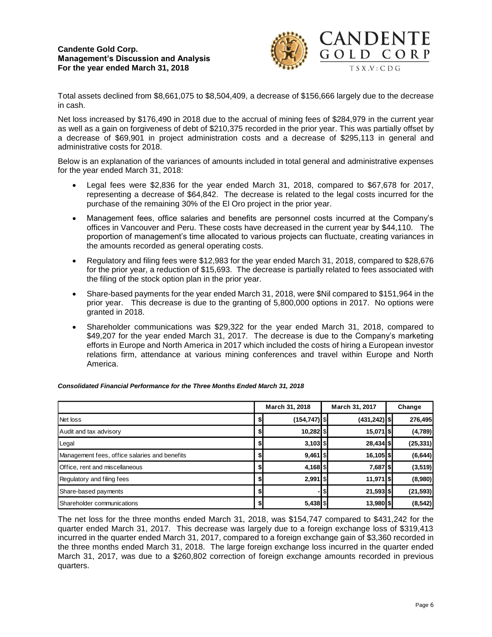

Total assets declined from \$8,661,075 to \$8,504,409, a decrease of \$156,666 largely due to the decrease in cash.

Net loss increased by \$176,490 in 2018 due to the accrual of mining fees of \$284,979 in the current year as well as a gain on forgiveness of debt of \$210,375 recorded in the prior year. This was partially offset by a decrease of \$69,901 in project administration costs and a decrease of \$295,113 in general and administrative costs for 2018.

Below is an explanation of the variances of amounts included in total general and administrative expenses for the year ended March 31, 2018:

- Legal fees were \$2,836 for the year ended March 31, 2018, compared to \$67,678 for 2017, representing a decrease of \$64,842. The decrease is related to the legal costs incurred for the purchase of the remaining 30% of the El Oro project in the prior year.
- Management fees, office salaries and benefits are personnel costs incurred at the Company's offices in Vancouver and Peru. These costs have decreased in the current year by \$44,110. The proportion of management's time allocated to various projects can fluctuate, creating variances in the amounts recorded as general operating costs.
- Regulatory and filing fees were \$12,983 for the year ended March 31, 2018, compared to \$28,676 for the prior year, a reduction of \$15,693. The decrease is partially related to fees associated with the filing of the stock option plan in the prior year.
- Share-based payments for the year ended March 31, 2018, were \$Nil compared to \$151,964 in the prior year. This decrease is due to the granting of 5,800,000 options in 2017. No options were granted in 2018.
- Shareholder communications was \$29,322 for the year ended March 31, 2018, compared to \$49,207 for the year ended March 31, 2017. The decrease is due to the Company's marketing efforts in Europe and North America in 2017 which included the costs of hiring a European investor relations firm, attendance at various mining conferences and travel within Europe and North America.

|                                               | March 31, 2018 |                 |  | March 31, 2017  | Change    |
|-----------------------------------------------|----------------|-----------------|--|-----------------|-----------|
| Net loss                                      | \$             | $(154, 747)$ \$ |  | $(431, 242)$ \$ | 276,495   |
| Audit and tax advisory                        | \$             |                 |  | 15,071 \$       | (4,789)   |
| Legal                                         | \$             | $3,103$ \$      |  | $28,434$ \$     | (25, 331) |
| Management fees, office salaries and benefits | \$             | $9,461$   \$    |  | $16, 105$ \$    | (6, 644)  |
| Office, rent and miscellaneous                | \$             | $4,168$ \$      |  | 7,687 \$        | (3, 519)  |
| Regulatory and filing fees                    | \$             | $2,991$   \$    |  | 11,971   \$     | (8,980)   |
| Share-based payments                          | \$             |                 |  | $21,593$ \$     | (21, 593) |
| Shareholder communications                    | \$             | $5,438$ \$      |  | 13,980 \$       | (8, 542)  |

#### *Consolidated Financial Performance for the Three Months Ended March 31, 2018*

The net loss for the three months ended March 31, 2018, was \$154,747 compared to \$431,242 for the quarter ended March 31, 2017. This decrease was largely due to a foreign exchange loss of \$319,413 incurred in the quarter ended March 31, 2017, compared to a foreign exchange gain of \$3,360 recorded in the three months ended March 31, 2018. The large foreign exchange loss incurred in the quarter ended March 31, 2017, was due to a \$260,802 correction of foreign exchange amounts recorded in previous quarters.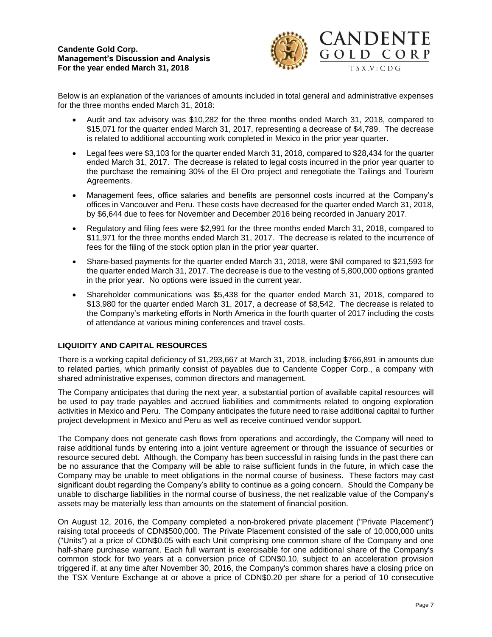

Below is an explanation of the variances of amounts included in total general and administrative expenses for the three months ended March 31, 2018:

- Audit and tax advisory was \$10,282 for the three months ended March 31, 2018, compared to \$15,071 for the quarter ended March 31, 2017, representing a decrease of \$4,789. The decrease is related to additional accounting work completed in Mexico in the prior year quarter.
- Legal fees were \$3,103 for the quarter ended March 31, 2018, compared to \$28,434 for the quarter ended March 31, 2017. The decrease is related to legal costs incurred in the prior year quarter to the purchase the remaining 30% of the El Oro project and renegotiate the Tailings and Tourism Agreements.
- Management fees, office salaries and benefits are personnel costs incurred at the Company's offices in Vancouver and Peru. These costs have decreased for the quarter ended March 31, 2018, by \$6,644 due to fees for November and December 2016 being recorded in January 2017.
- Regulatory and filing fees were \$2,991 for the three months ended March 31, 2018, compared to \$11,971 for the three months ended March 31, 2017. The decrease is related to the incurrence of fees for the filing of the stock option plan in the prior year quarter.
- Share-based payments for the quarter ended March 31, 2018, were \$Nil compared to \$21,593 for the quarter ended March 31, 2017. The decrease is due to the vesting of 5,800,000 options granted in the prior year. No options were issued in the current year.
- Shareholder communications was \$5,438 for the quarter ended March 31, 2018, compared to \$13,980 for the quarter ended March 31, 2017, a decrease of \$8,542. The decrease is related to the Company's marketing efforts in North America in the fourth quarter of 2017 including the costs of attendance at various mining conferences and travel costs.

# **LIQUIDITY AND CAPITAL RESOURCES**

There is a working capital deficiency of \$1,293,667 at March 31, 2018, including \$766,891 in amounts due to related parties, which primarily consist of payables due to Candente Copper Corp., a company with shared administrative expenses, common directors and management.

The Company anticipates that during the next year, a substantial portion of available capital resources will be used to pay trade payables and accrued liabilities and commitments related to ongoing exploration activities in Mexico and Peru. The Company anticipates the future need to raise additional capital to further project development in Mexico and Peru as well as receive continued vendor support.

The Company does not generate cash flows from operations and accordingly, the Company will need to raise additional funds by entering into a joint venture agreement or through the issuance of securities or resource secured debt. Although, the Company has been successful in raising funds in the past there can be no assurance that the Company will be able to raise sufficient funds in the future, in which case the Company may be unable to meet obligations in the normal course of business. These factors may cast significant doubt regarding the Company's ability to continue as a going concern. Should the Company be unable to discharge liabilities in the normal course of business, the net realizable value of the Company's assets may be materially less than amounts on the statement of financial position.

On August 12, 2016, the Company completed a non-brokered private placement ("Private Placement") raising total proceeds of CDN\$500,000. The Private Placement consisted of the sale of 10,000,000 units ("Units") at a price of CDN\$0.05 with each Unit comprising one common share of the Company and one half-share purchase warrant. Each full warrant is exercisable for one additional share of the Company's common stock for two years at a conversion price of CDN\$0.10, subject to an acceleration provision triggered if, at any time after November 30, 2016, the Company's common shares have a closing price on the TSX Venture Exchange at or above a price of CDN\$0.20 per share for a period of 10 consecutive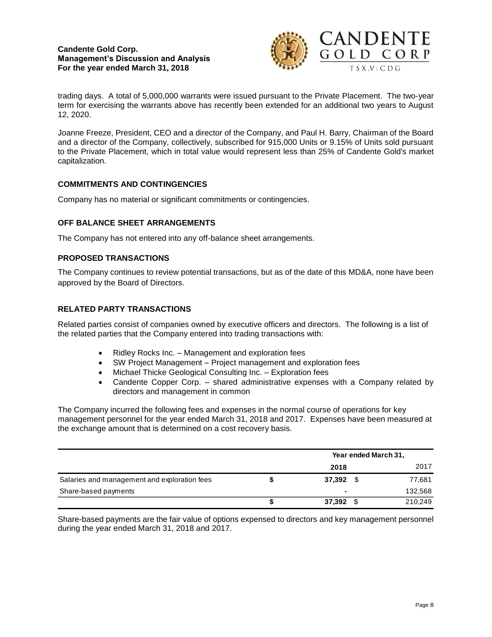

trading days. A total of 5,000,000 warrants were issued pursuant to the Private Placement. The two-year term for exercising the warrants above has recently been extended for an additional two years to August 12, 2020.

Joanne Freeze, President, CEO and a director of the Company, and Paul H. Barry, Chairman of the Board and a director of the Company, collectively, subscribed for 915,000 Units or 9.15% of Units sold pursuant to the Private Placement, which in total value would represent less than 25% of Candente Gold's market capitalization.

# **COMMITMENTS AND CONTINGENCIES**

Company has no material or significant commitments or contingencies.

## **OFF BALANCE SHEET ARRANGEMENTS**

The Company has not entered into any off-balance sheet arrangements.

## **PROPOSED TRANSACTIONS**

The Company continues to review potential transactions, but as of the date of this MD&A, none have been approved by the Board of Directors.

## **RELATED PARTY TRANSACTIONS**

Related parties consist of companies owned by executive officers and directors. The following is a list of the related parties that the Company entered into trading transactions with:

- Ridley Rocks Inc. Management and exploration fees
- SW Project Management Project management and exploration fees
- Michael Thicke Geological Consulting Inc. Exploration fees
- Candente Copper Corp. shared administrative expenses with a Company related by directors and management in common

The Company incurred the following fees and expenses in the normal course of operations for key management personnel for the year ended March 31, 2018 and 2017. Expenses have been measured at the exchange amount that is determined on a cost recovery basis.

|                                              |   | Year ended March 31, |  |         |  |  |
|----------------------------------------------|---|----------------------|--|---------|--|--|
|                                              |   | 2018                 |  | 2017    |  |  |
| Salaries and management and exploration fees |   | 37.392               |  | 77,681  |  |  |
| Share-based payments                         |   |                      |  | 132,568 |  |  |
|                                              | ъ | 37,392               |  | 210,249 |  |  |

Share-based payments are the fair value of options expensed to directors and key management personnel during the year ended March 31, 2018 and 2017.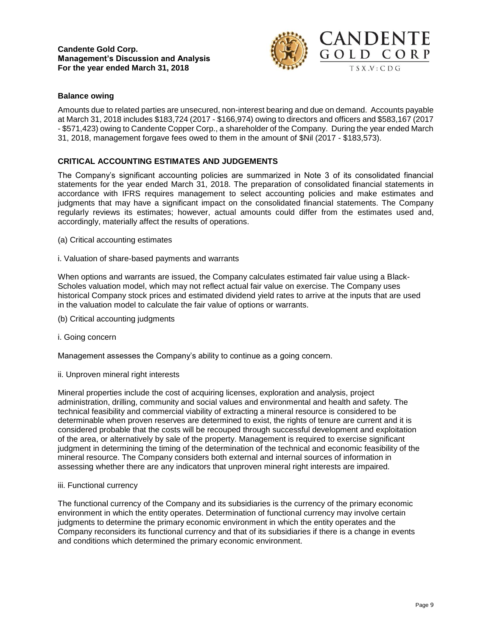

## **Balance owing**

Amounts due to related parties are unsecured, non-interest bearing and due on demand. Accounts payable at March 31, 2018 includes \$183,724 (2017 - \$166,974) owing to directors and officers and \$583,167 (2017 - \$571,423) owing to Candente Copper Corp., a shareholder of the Company. During the year ended March 31, 2018, management forgave fees owed to them in the amount of \$Nil (2017 - \$183,573).

## **CRITICAL ACCOUNTING ESTIMATES AND JUDGEMENTS**

The Company's significant accounting policies are summarized in Note 3 of its consolidated financial statements for the year ended March 31, 2018. The preparation of consolidated financial statements in accordance with IFRS requires management to select accounting policies and make estimates and judgments that may have a significant impact on the consolidated financial statements. The Company regularly reviews its estimates; however, actual amounts could differ from the estimates used and, accordingly, materially affect the results of operations.

- (a) Critical accounting estimates
- i. Valuation of share-based payments and warrants

When options and warrants are issued, the Company calculates estimated fair value using a Black-Scholes valuation model, which may not reflect actual fair value on exercise. The Company uses historical Company stock prices and estimated dividend yield rates to arrive at the inputs that are used in the valuation model to calculate the fair value of options or warrants.

- (b) Critical accounting judgments
- i. Going concern

Management assesses the Company's ability to continue as a going concern.

ii. Unproven mineral right interests

Mineral properties include the cost of acquiring licenses, exploration and analysis, project administration, drilling, community and social values and environmental and health and safety. The technical feasibility and commercial viability of extracting a mineral resource is considered to be determinable when proven reserves are determined to exist, the rights of tenure are current and it is considered probable that the costs will be recouped through successful development and exploitation of the area, or alternatively by sale of the property. Management is required to exercise significant judgment in determining the timing of the determination of the technical and economic feasibility of the mineral resource. The Company considers both external and internal sources of information in assessing whether there are any indicators that unproven mineral right interests are impaired.

#### iii. Functional currency

The functional currency of the Company and its subsidiaries is the currency of the primary economic environment in which the entity operates. Determination of functional currency may involve certain judgments to determine the primary economic environment in which the entity operates and the Company reconsiders its functional currency and that of its subsidiaries if there is a change in events and conditions which determined the primary economic environment.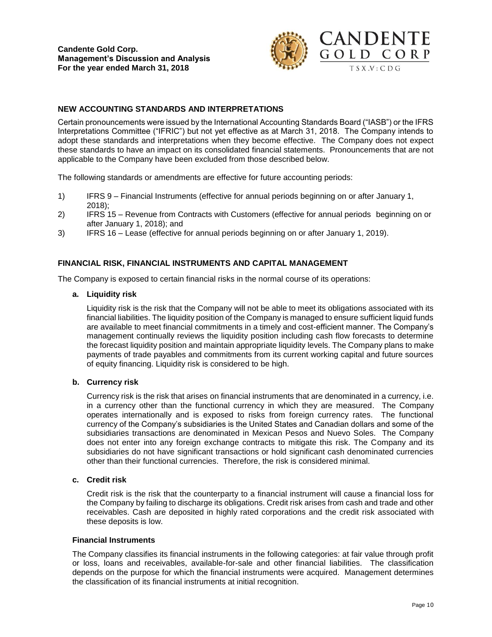

## **NEW ACCOUNTING STANDARDS AND INTERPRETATIONS**

Certain pronouncements were issued by the International Accounting Standards Board ("IASB") or the IFRS Interpretations Committee ("IFRIC") but not yet effective as at March 31, 2018. The Company intends to adopt these standards and interpretations when they become effective. The Company does not expect these standards to have an impact on its consolidated financial statements. Pronouncements that are not applicable to the Company have been excluded from those described below.

The following standards or amendments are effective for future accounting periods:

- 1) IFRS 9 Financial Instruments (effective for annual periods beginning on or after January 1, 2018);
- 2) IFRS 15 Revenue from Contracts with Customers (effective for annual periods beginning on or after January 1, 2018); and
- 3) IFRS 16 Lease (effective for annual periods beginning on or after January 1, 2019).

#### **FINANCIAL RISK, FINANCIAL INSTRUMENTS AND CAPITAL MANAGEMENT**

The Company is exposed to certain financial risks in the normal course of its operations:

**a. Liquidity risk**

Liquidity risk is the risk that the Company will not be able to meet its obligations associated with its financial liabilities. The liquidity position of the Company is managed to ensure sufficient liquid funds are available to meet financial commitments in a timely and cost-efficient manner. The Company's management continually reviews the liquidity position including cash flow forecasts to determine the forecast liquidity position and maintain appropriate liquidity levels. The Company plans to make payments of trade payables and commitments from its current working capital and future sources of equity financing. Liquidity risk is considered to be high.

#### **b. Currency risk**

Currency risk is the risk that arises on financial instruments that are denominated in a currency, i.e. in a currency other than the functional currency in which they are measured. The Company operates internationally and is exposed to risks from foreign currency rates. The functional currency of the Company's subsidiaries is the United States and Canadian dollars and some of the subsidiaries transactions are denominated in Mexican Pesos and Nuevo Soles. The Company does not enter into any foreign exchange contracts to mitigate this risk. The Company and its subsidiaries do not have significant transactions or hold significant cash denominated currencies other than their functional currencies. Therefore, the risk is considered minimal.

### **c. Credit risk**

Credit risk is the risk that the counterparty to a financial instrument will cause a financial loss for the Company by failing to discharge its obligations. Credit risk arises from cash and trade and other receivables. Cash are deposited in highly rated corporations and the credit risk associated with these deposits is low.

#### **Financial Instruments**

The Company classifies its financial instruments in the following categories: at fair value through profit or loss, loans and receivables, available-for-sale and other financial liabilities. The classification depends on the purpose for which the financial instruments were acquired. Management determines the classification of its financial instruments at initial recognition.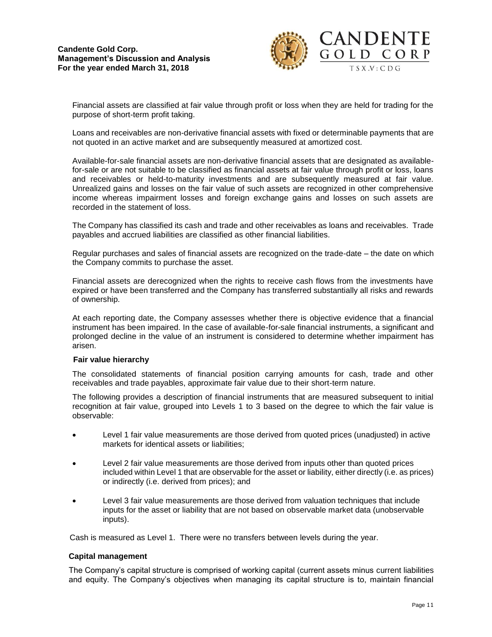

Financial assets are classified at fair value through profit or loss when they are held for trading for the purpose of short-term profit taking.

Loans and receivables are non-derivative financial assets with fixed or determinable payments that are not quoted in an active market and are subsequently measured at amortized cost.

Available-for-sale financial assets are non-derivative financial assets that are designated as availablefor-sale or are not suitable to be classified as financial assets at fair value through profit or loss, loans and receivables or held-to-maturity investments and are subsequently measured at fair value. Unrealized gains and losses on the fair value of such assets are recognized in other comprehensive income whereas impairment losses and foreign exchange gains and losses on such assets are recorded in the statement of loss.

The Company has classified its cash and trade and other receivables as loans and receivables. Trade payables and accrued liabilities are classified as other financial liabilities.

Regular purchases and sales of financial assets are recognized on the trade-date – the date on which the Company commits to purchase the asset.

Financial assets are derecognized when the rights to receive cash flows from the investments have expired or have been transferred and the Company has transferred substantially all risks and rewards of ownership.

At each reporting date, the Company assesses whether there is objective evidence that a financial instrument has been impaired. In the case of available-for-sale financial instruments, a significant and prolonged decline in the value of an instrument is considered to determine whether impairment has arisen.

#### **Fair value hierarchy**

The consolidated statements of financial position carrying amounts for cash, trade and other receivables and trade payables, approximate fair value due to their short-term nature.

The following provides a description of financial instruments that are measured subsequent to initial recognition at fair value, grouped into Levels 1 to 3 based on the degree to which the fair value is observable:

- Level 1 fair value measurements are those derived from quoted prices (unadjusted) in active markets for identical assets or liabilities;
- Level 2 fair value measurements are those derived from inputs other than quoted prices included within Level 1 that are observable for the asset or liability, either directly (i.e. as prices) or indirectly (i.e. derived from prices); and
- Level 3 fair value measurements are those derived from valuation techniques that include inputs for the asset or liability that are not based on observable market data (unobservable inputs).

Cash is measured as Level 1. There were no transfers between levels during the year.

#### **Capital management**

The Company's capital structure is comprised of working capital (current assets minus current liabilities and equity. The Company's objectives when managing its capital structure is to, maintain financial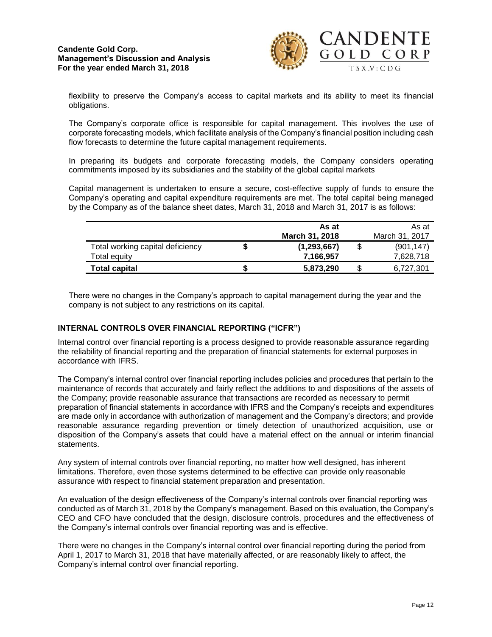

flexibility to preserve the Company's access to capital markets and its ability to meet its financial obligations.

The Company's corporate office is responsible for capital management. This involves the use of corporate forecasting models, which facilitate analysis of the Company's financial position including cash flow forecasts to determine the future capital management requirements.

In preparing its budgets and corporate forecasting models, the Company considers operating commitments imposed by its subsidiaries and the stability of the global capital markets

Capital management is undertaken to ensure a secure, cost-effective supply of funds to ensure the Company's operating and capital expenditure requirements are met. The total capital being managed by the Company as of the balance sheet dates, March 31, 2018 and March 31, 2017 is as follows:

|                                  | As at                 | As at           |
|----------------------------------|-----------------------|-----------------|
|                                  | <b>March 31, 2018</b> | March 31, 2017  |
| Total working capital deficiency | (1, 293, 667)         | (901.147)       |
| Total equity                     | 7,166,957             | 7,628,718       |
| <b>Total capital</b>             | 5,873,290             | \$<br>6,727,301 |

There were no changes in the Company's approach to capital management during the year and the company is not subject to any restrictions on its capital.

### **INTERNAL CONTROLS OVER FINANCIAL REPORTING ("ICFR")**

Internal control over financial reporting is a process designed to provide reasonable assurance regarding the reliability of financial reporting and the preparation of financial statements for external purposes in accordance with IFRS.

The Company's internal control over financial reporting includes policies and procedures that pertain to the maintenance of records that accurately and fairly reflect the additions to and dispositions of the assets of the Company; provide reasonable assurance that transactions are recorded as necessary to permit preparation of financial statements in accordance with IFRS and the Company's receipts and expenditures are made only in accordance with authorization of management and the Company's directors; and provide reasonable assurance regarding prevention or timely detection of unauthorized acquisition, use or disposition of the Company's assets that could have a material effect on the annual or interim financial statements.

Any system of internal controls over financial reporting, no matter how well designed, has inherent limitations. Therefore, even those systems determined to be effective can provide only reasonable assurance with respect to financial statement preparation and presentation.

An evaluation of the design effectiveness of the Company's internal controls over financial reporting was conducted as of March 31, 2018 by the Company's management. Based on this evaluation, the Company's CEO and CFO have concluded that the design, disclosure controls, procedures and the effectiveness of the Company's internal controls over financial reporting was and is effective.

There were no changes in the Company's internal control over financial reporting during the period from April 1, 2017 to March 31, 2018 that have materially affected, or are reasonably likely to affect, the Company's internal control over financial reporting.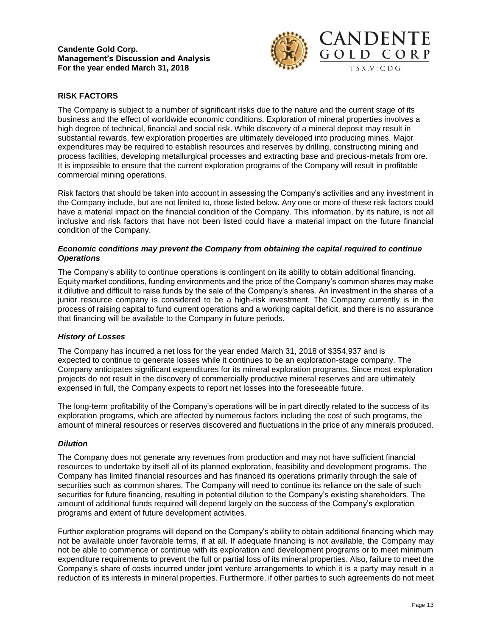

## **RISK FACTORS**

The Company is subject to a number of significant risks due to the nature and the current stage of its business and the effect of worldwide economic conditions. Exploration of mineral properties involves a high degree of technical, financial and social risk. While discovery of a mineral deposit may result in substantial rewards, few exploration properties are ultimately developed into producing mines. Major expenditures may be required to establish resources and reserves by drilling, constructing mining and process facilities, developing metallurgical processes and extracting base and precious-metals from ore. It is impossible to ensure that the current exploration programs of the Company will result in profitable commercial mining operations.

Risk factors that should be taken into account in assessing the Company's activities and any investment in the Company include, but are not limited to, those listed below. Any one or more of these risk factors could have a material impact on the financial condition of the Company. This information, by its nature, is not all inclusive and risk factors that have not been listed could have a material impact on the future financial condition of the Company.

### *Economic conditions may prevent the Company from obtaining the capital required to continue Operations*

The Company's ability to continue operations is contingent on its ability to obtain additional financing. Equity market conditions, funding environments and the price of the Company's common shares may make it dilutive and difficult to raise funds by the sale of the Company's shares. An investment in the shares of a junior resource company is considered to be a high-risk investment. The Company currently is in the process of raising capital to fund current operations and a working capital deficit, and there is no assurance that financing will be available to the Company in future periods.

### *History of Losses*

The Company has incurred a net loss for the year ended March 31, 2018 of \$354,937 and is expected to continue to generate losses while it continues to be an exploration-stage company. The Company anticipates significant expenditures for its mineral exploration programs. Since most exploration projects do not result in the discovery of commercially productive mineral reserves and are ultimately expensed in full, the Company expects to report net losses into the foreseeable future.

The long-term profitability of the Company's operations will be in part directly related to the success of its exploration programs, which are affected by numerous factors including the cost of such programs, the amount of mineral resources or reserves discovered and fluctuations in the price of any minerals produced.

#### *Dilution*

The Company does not generate any revenues from production and may not have sufficient financial resources to undertake by itself all of its planned exploration, feasibility and development programs. The Company has limited financial resources and has financed its operations primarily through the sale of securities such as common shares. The Company will need to continue its reliance on the sale of such securities for future financing, resulting in potential dilution to the Company's existing shareholders. The amount of additional funds required will depend largely on the success of the Company's exploration programs and extent of future development activities.

Further exploration programs will depend on the Company's ability to obtain additional financing which may not be available under favorable terms, if at all. If adequate financing is not available, the Company may not be able to commence or continue with its exploration and development programs or to meet minimum expenditure requirements to prevent the full or partial loss of its mineral properties. Also, failure to meet the Company's share of costs incurred under joint venture arrangements to which it is a party may result in a reduction of its interests in mineral properties. Furthermore, if other parties to such agreements do not meet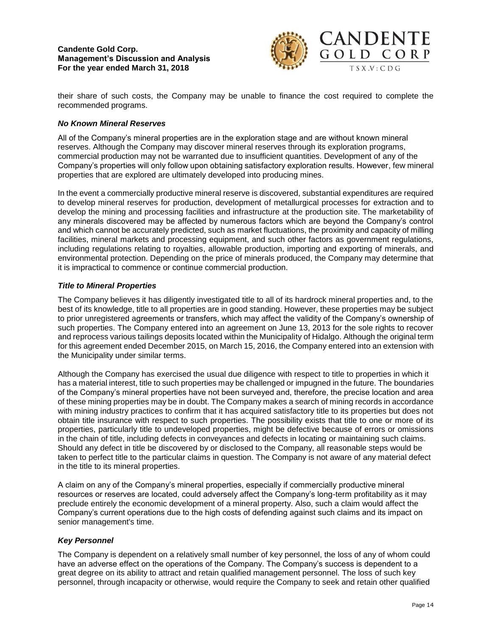

their share of such costs, the Company may be unable to finance the cost required to complete the recommended programs.

## *No Known Mineral Reserves*

All of the Company's mineral properties are in the exploration stage and are without known mineral reserves. Although the Company may discover mineral reserves through its exploration programs, commercial production may not be warranted due to insufficient quantities. Development of any of the Company's properties will only follow upon obtaining satisfactory exploration results. However, few mineral properties that are explored are ultimately developed into producing mines.

In the event a commercially productive mineral reserve is discovered, substantial expenditures are required to develop mineral reserves for production, development of metallurgical processes for extraction and to develop the mining and processing facilities and infrastructure at the production site. The marketability of any minerals discovered may be affected by numerous factors which are beyond the Company's control and which cannot be accurately predicted, such as market fluctuations, the proximity and capacity of milling facilities, mineral markets and processing equipment, and such other factors as government regulations, including regulations relating to royalties, allowable production, importing and exporting of minerals, and environmental protection. Depending on the price of minerals produced, the Company may determine that it is impractical to commence or continue commercial production.

## *Title to Mineral Properties*

The Company believes it has diligently investigated title to all of its hardrock mineral properties and, to the best of its knowledge, title to all properties are in good standing. However, these properties may be subject to prior unregistered agreements or transfers, which may affect the validity of the Company's ownership of such properties. The Company entered into an agreement on June 13, 2013 for the sole rights to recover and reprocess various tailings deposits located within the Municipality of Hidalgo. Although the original term for this agreement ended December 2015, on March 15, 2016, the Company entered into an extension with the Municipality under similar terms.

Although the Company has exercised the usual due diligence with respect to title to properties in which it has a material interest, title to such properties may be challenged or impugned in the future. The boundaries of the Company's mineral properties have not been surveyed and, therefore, the precise location and area of these mining properties may be in doubt. The Company makes a search of mining records in accordance with mining industry practices to confirm that it has acquired satisfactory title to its properties but does not obtain title insurance with respect to such properties. The possibility exists that title to one or more of its properties, particularly title to undeveloped properties, might be defective because of errors or omissions in the chain of title, including defects in conveyances and defects in locating or maintaining such claims. Should any defect in title be discovered by or disclosed to the Company, all reasonable steps would be taken to perfect title to the particular claims in question. The Company is not aware of any material defect in the title to its mineral properties.

A claim on any of the Company's mineral properties, especially if commercially productive mineral resources or reserves are located, could adversely affect the Company's long-term profitability as it may preclude entirely the economic development of a mineral property. Also, such a claim would affect the Company's current operations due to the high costs of defending against such claims and its impact on senior management's time.

#### *Key Personnel*

The Company is dependent on a relatively small number of key personnel, the loss of any of whom could have an adverse effect on the operations of the Company. The Company's success is dependent to a great degree on its ability to attract and retain qualified management personnel. The loss of such key personnel, through incapacity or otherwise, would require the Company to seek and retain other qualified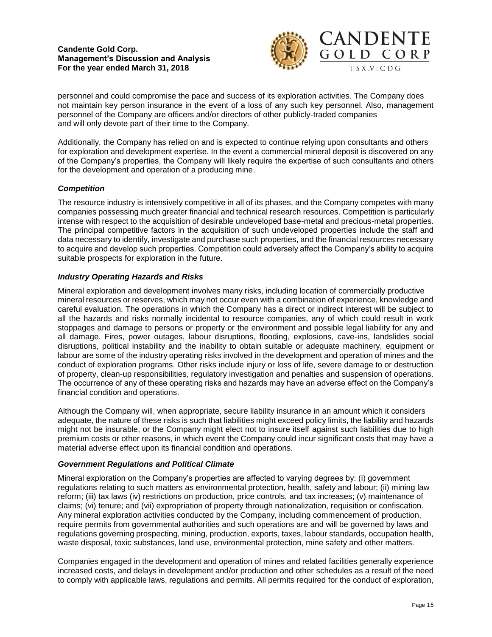

personnel and could compromise the pace and success of its exploration activities. The Company does not maintain key person insurance in the event of a loss of any such key personnel. Also, management personnel of the Company are officers and/or directors of other publicly-traded companies and will only devote part of their time to the Company.

Additionally, the Company has relied on and is expected to continue relying upon consultants and others for exploration and development expertise. In the event a commercial mineral deposit is discovered on any of the Company's properties, the Company will likely require the expertise of such consultants and others for the development and operation of a producing mine.

# *Competition*

The resource industry is intensively competitive in all of its phases, and the Company competes with many companies possessing much greater financial and technical research resources. Competition is particularly intense with respect to the acquisition of desirable undeveloped base-metal and precious-metal properties. The principal competitive factors in the acquisition of such undeveloped properties include the staff and data necessary to identify, investigate and purchase such properties, and the financial resources necessary to acquire and develop such properties. Competition could adversely affect the Company's ability to acquire suitable prospects for exploration in the future.

## *Industry Operating Hazards and Risks*

Mineral exploration and development involves many risks, including location of commercially productive mineral resources or reserves, which may not occur even with a combination of experience, knowledge and careful evaluation. The operations in which the Company has a direct or indirect interest will be subject to all the hazards and risks normally incidental to resource companies, any of which could result in work stoppages and damage to persons or property or the environment and possible legal liability for any and all damage. Fires, power outages, labour disruptions, flooding, explosions, cave-ins, landslides social disruptions, political instability and the inability to obtain suitable or adequate machinery, equipment or labour are some of the industry operating risks involved in the development and operation of mines and the conduct of exploration programs. Other risks include injury or loss of life, severe damage to or destruction of property, clean-up responsibilities, regulatory investigation and penalties and suspension of operations. The occurrence of any of these operating risks and hazards may have an adverse effect on the Company's financial condition and operations.

Although the Company will, when appropriate, secure liability insurance in an amount which it considers adequate, the nature of these risks is such that liabilities might exceed policy limits, the liability and hazards might not be insurable, or the Company might elect not to insure itself against such liabilities due to high premium costs or other reasons, in which event the Company could incur significant costs that may have a material adverse effect upon its financial condition and operations.

## *Government Regulations and Political Climate*

Mineral exploration on the Company's properties are affected to varying degrees by: (i) government regulations relating to such matters as environmental protection, health, safety and labour; (ii) mining law reform; (iii) tax laws (iv) restrictions on production, price controls, and tax increases; (v) maintenance of claims; (vi) tenure; and (vii) expropriation of property through nationalization, requisition or confiscation. Any mineral exploration activities conducted by the Company, including commencement of production, require permits from governmental authorities and such operations are and will be governed by laws and regulations governing prospecting, mining, production, exports, taxes, labour standards, occupation health, waste disposal, toxic substances, land use, environmental protection, mine safety and other matters.

Companies engaged in the development and operation of mines and related facilities generally experience increased costs, and delays in development and/or production and other schedules as a result of the need to comply with applicable laws, regulations and permits. All permits required for the conduct of exploration,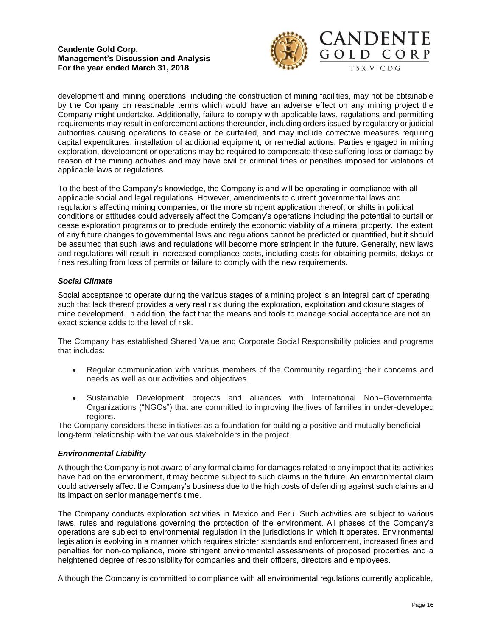

development and mining operations, including the construction of mining facilities, may not be obtainable by the Company on reasonable terms which would have an adverse effect on any mining project the Company might undertake. Additionally, failure to comply with applicable laws, regulations and permitting requirements may result in enforcement actions thereunder, including orders issued by regulatory or judicial authorities causing operations to cease or be curtailed, and may include corrective measures requiring capital expenditures, installation of additional equipment, or remedial actions. Parties engaged in mining exploration, development or operations may be required to compensate those suffering loss or damage by reason of the mining activities and may have civil or criminal fines or penalties imposed for violations of applicable laws or regulations.

To the best of the Company's knowledge, the Company is and will be operating in compliance with all applicable social and legal regulations. However, amendments to current governmental laws and regulations affecting mining companies, or the more stringent application thereof, or shifts in political conditions or attitudes could adversely affect the Company's operations including the potential to curtail or cease exploration programs or to preclude entirely the economic viability of a mineral property. The extent of any future changes to governmental laws and regulations cannot be predicted or quantified, but it should be assumed that such laws and regulations will become more stringent in the future. Generally, new laws and regulations will result in increased compliance costs, including costs for obtaining permits, delays or fines resulting from loss of permits or failure to comply with the new requirements.

## *Social Climate*

Social acceptance to operate during the various stages of a mining project is an integral part of operating such that lack thereof provides a very real risk during the exploration, exploitation and closure stages of mine development. In addition, the fact that the means and tools to manage social acceptance are not an exact science adds to the level of risk.

The Company has established Shared Value and Corporate Social Responsibility policies and programs that includes:

- Regular communication with various members of the Community regarding their concerns and needs as well as our activities and objectives.
- Sustainable Development projects and alliances with International Non–Governmental Organizations ("NGOs") that are committed to improving the lives of families in under-developed regions.

The Company considers these initiatives as a foundation for building a positive and mutually beneficial long-term relationship with the various stakeholders in the project.

#### *Environmental Liability*

Although the Company is not aware of any formal claims for damages related to any impact that its activities have had on the environment, it may become subject to such claims in the future. An environmental claim could adversely affect the Company's business due to the high costs of defending against such claims and its impact on senior management's time.

The Company conducts exploration activities in Mexico and Peru. Such activities are subject to various laws, rules and regulations governing the protection of the environment. All phases of the Company's operations are subject to environmental regulation in the jurisdictions in which it operates. Environmental legislation is evolving in a manner which requires stricter standards and enforcement, increased fines and penalties for non-compliance, more stringent environmental assessments of proposed properties and a heightened degree of responsibility for companies and their officers, directors and employees.

Although the Company is committed to compliance with all environmental regulations currently applicable,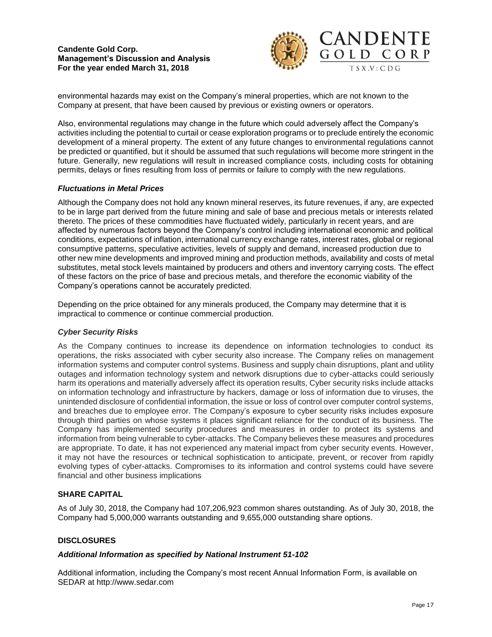

environmental hazards may exist on the Company's mineral properties, which are not known to the Company at present, that have been caused by previous or existing owners or operators.

Also, environmental regulations may change in the future which could adversely affect the Company's activities including the potential to curtail or cease exploration programs or to preclude entirely the economic development of a mineral property. The extent of any future changes to environmental regulations cannot be predicted or quantified, but it should be assumed that such regulations will become more stringent in the future. Generally, new regulations will result in increased compliance costs, including costs for obtaining permits, delays or fines resulting from loss of permits or failure to comply with the new regulations.

## *Fluctuations in Metal Prices*

Although the Company does not hold any known mineral reserves, its future revenues, if any, are expected to be in large part derived from the future mining and sale of base and precious metals or interests related thereto. The prices of these commodities have fluctuated widely, particularly in recent years, and are affected by numerous factors beyond the Company's control including international economic and political conditions, expectations of inflation, international currency exchange rates, interest rates, global or regional consumptive patterns, speculative activities, levels of supply and demand, increased production due to other new mine developments and improved mining and production methods, availability and costs of metal substitutes, metal stock levels maintained by producers and others and inventory carrying costs. The effect of these factors on the price of base and precious metals, and therefore the economic viability of the Company's operations cannot be accurately predicted.

Depending on the price obtained for any minerals produced, the Company may determine that it is impractical to commence or continue commercial production.

#### *Cyber Security Risks*

As the Company continues to increase its dependence on information technologies to conduct its operations, the risks associated with cyber security also increase. The Company relies on management information systems and computer control systems. Business and supply chain disruptions, plant and utility outages and information technology system and network disruptions due to cyber-attacks could seriously harm its operations and materially adversely affect its operation results, Cyber security risks include attacks on information technology and infrastructure by hackers, damage or loss of information due to viruses, the unintended disclosure of confidential information, the issue or loss of control over computer control systems, and breaches due to employee error. The Company's exposure to cyber security risks includes exposure through third parties on whose systems it places significant reliance for the conduct of its business. The Company has implemented security procedures and measures in order to protect its systems and information from being vulnerable to cyber-attacks. The Company believes these measures and procedures are appropriate. To date, it has not experienced any material impact from cyber security events. However, it may not have the resources or technical sophistication to anticipate, prevent, or recover from rapidly evolving types of cyber-attacks. Compromises to its information and control systems could have severe financial and other business implications

#### **SHARE CAPITAL**

As of July 30, 2018, the Company had 107,206,923 common shares outstanding. As of July 30, 2018, the Company had 5,000,000 warrants outstanding and 9,655,000 outstanding share options.

### **DISCLOSURES**

#### *Additional Information as specified by National Instrument 51-102*

Additional information, including the Company's most recent Annual Information Form, is available on SEDAR at [http://www.sedar.com](http://www.sedar.com/)